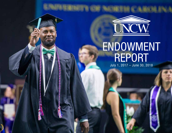

# ENDOWMENT REPORT

July 1, 2017 – June 30, 2018

7777777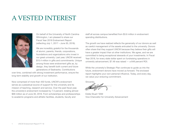# A VESTED INTEREST



On behalf of the University of North Carolina Wilmington, I am pleased to share our Fiscal Year 2018 Endowment Report (reflecting July 1, 2017 – June 30, 2018).

We are incredibly grateful for the thousands of alumni, parents, friends, corporations, foundations and organizations who invest in our great university. Last year, UNCW received \$15.4 million in gifts and commitments. Unique among those were endowment gifts as, by design, they benefit both current and future generations of Seahawks. Contributions

over time, combined with strong investment performance, ensure the long-term stability and growth of our institution.

Now comprised of more than 450 funds, UNCW's endowment serves as a perpetual source of support for the university and its mission of teaching, research and service. Over the past fiscal year, the university's endowment increased by 7.5 percent, totaling almost \$99 million as of June 30, 2018. From scholarships and professorships to academic programs and athletic facilities, students, faculty and

staff all across campus benefited from \$3.6 million in endowment spending distributions.

The growth we have realized reflects the generosity of our donors as well as careful management of the assets entrusted to the university. Donors often share that they support UNCW because they believe their gifts will have a greater impact than at other institutions. We agree, and we are committed to being exceptional stewards of your investments. In Fiscal Year 2018, for every state dollar spent on fundraising operations in university advancement, \$7.48 was raised — a 648 percent ROI.

While the university's Strategic Plan continues to guide us into the future, endowment donors have moved us forward. The enclosed report highlights your own personal influence. Today, and every day, we value your enduring commitment.

Sincerely,

Eddie Stuart '05M Vice Chancellor for University Advancement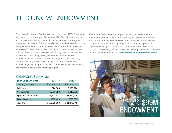### THE UNCW ENDOWMENT

The University of North Carolina Wilmington and the UNCW Foundation Inc. depend on endowment gifts to ensure UNCW's students, faculty and programs will thrive in perpetuity. An endowment is a long-term investment that creates financial stability, allowing the university to plan using dependable and predictable sources of revenue. Moreover, an endowed gift offers donors an opportunity to connect a family name or loved one to an area of UNCW in which they have a special interest. Endowment donors may make gifts to either an unrestricted endowment, which provides support for programs at the university's discretion, or they may establish an agreement for a restricted endowment, which supports a specific purpose such as a scholarship, professorship, athletic or academic program.

#### FINANCIAL SUMMARY

| as of June 30, 2018          | 2017-18      | 2016-17      |
|------------------------------|--------------|--------------|
| <b>Opening Balance</b>       | \$91,940,718 | \$84,266,637 |
| Additions                    | 1,874,885    | 2,920,274    |
| <b>Net Earnings</b>          | 9,601,223    | 9,212,025    |
| <b>Spending Distribution</b> | (3,607,527)  | (3,552,915)  |
| Administrative               | (932, 439)   | (905, 303)   |
| Year-end                     | \$98,876,860 | \$91,940,718 |

This Annual Endowment Report provides an overview of what the endowment portfolio does for the university and serves as a financial summary of its investment and distribution activities for the past year. A separate statement detailing information on a donor's particular endowment(s) may also be enclosed. Additional information about UNCW's endowment, including frequently asked questions and definition of terms, can be found online at www.uncw.edu/endowmentreport.

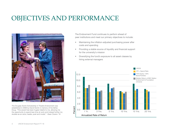## OBJECTIVES AND PERFORMANCE



The Douglas Swink Scholarship in Theatre Endowment was established in 2008 by David Swink in memory of his father, Doug. "This award has been hugely helpful to me, allowing me the opportunity to spend less time at work and instead further my studies as an actor, leader, poet and model." –Sean Owens '18

The Endowment Fund continues to perform ahead of peer institutions and meet our primary objectives to include:

- Maintaining the inflation-adjusted purchasing power after costs and spending
- Providing a stable source of liquidity and financial support for the university's mission
- Diversifying the fund's exposure to all asset classes by hiring external managers

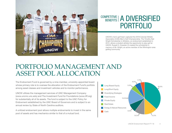

### COMPETITIVE | A DIVERSIFIED PORTFOLIO BENEFITS

UNCW's men's golf team captured the 2018 Colonial Athletic Association (CAA) Men's Golf Championship. The Timothy Neil Wright Scholarship in Athletics, an endowment established in 2012, allows a student-athlete the opportunity to play golf at UNCW. Russell H. Sneeden III created the scholarship in memory of Mr. Wright, an active member of the Wilmington-area golfing community.

### PORTFOLIO MANAGEMENT AND ASSET POOL ALLOCATION

The Endowment Fund is governed by a nine-member, university-appointed board whose primary role is to oversee the allocation of the Endowment Fund's portfolio among asset classes and investment vehicles and to monitor performance.

UNCW utilizes the management services of UNC Management Company (www.uncmc.unc.edu) and The Investment Fund for Foundations (www.tiff.org) for substantially all of its assets. The fund is subject to the UNC Policy for Endowment established by the UNC Board of Governors and is subject to an annual review by State of North Carolina auditors.

A unitized endowment pool allows multiple endowments to invest in the same pool of assets and has mechanics similar to that of a mutual fund.

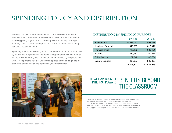## SPENDING POLICY AND DISTRIBUTION

Annually, the UNCW Endowment Board of the Board of Trustees and the Investment Committee of the UNCW Foundation Board review the spending policy payout for the upcoming fiscal year (July 1 through June 30). These boards have approved a 4.5 percent annual spending rate since fiscal year 2013.

Spending rates for individually named endowment funds are determined by calculating 4.5 percent of the pool's average market value at June 30 for the previous three years. That value is then divided by the pool's total units. This spending rate per unit is then applied to the ending units of each fund and serves as the next fiscal year's distribution.

#### DISTRIBUTION BY SPENDING PURPOSE

|                       | 2017-18     | 2016-17     |
|-----------------------|-------------|-------------|
| Scholarships          | \$1,523,027 | \$1,508,447 |
| Academic Support      | 646,529     | 610,441     |
| Professorships        | 712,180     | 688,451     |
| <b>Facilities</b>     | 260,762     | 260,217     |
| <b>Public Service</b> | 127,342     | 148.754     |
| General Support       | 337,687     | 336,605     |
|                       | \$3,607,527 | \$3,552,915 |



### THE WILLIAM BAGGETT | BENEFITS BEYOND THE CLASSROOM INTERNSHIP AWARD

The William Baggett Internship Award in Business is an endowment with annual earnings used to assist students engaged with internships with small businesses, nonprofit organizations or those pursuing unpaid internships. Faculty-mentored internships are one of many applied learning experiences that reinforce classroom studies.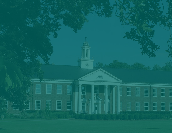